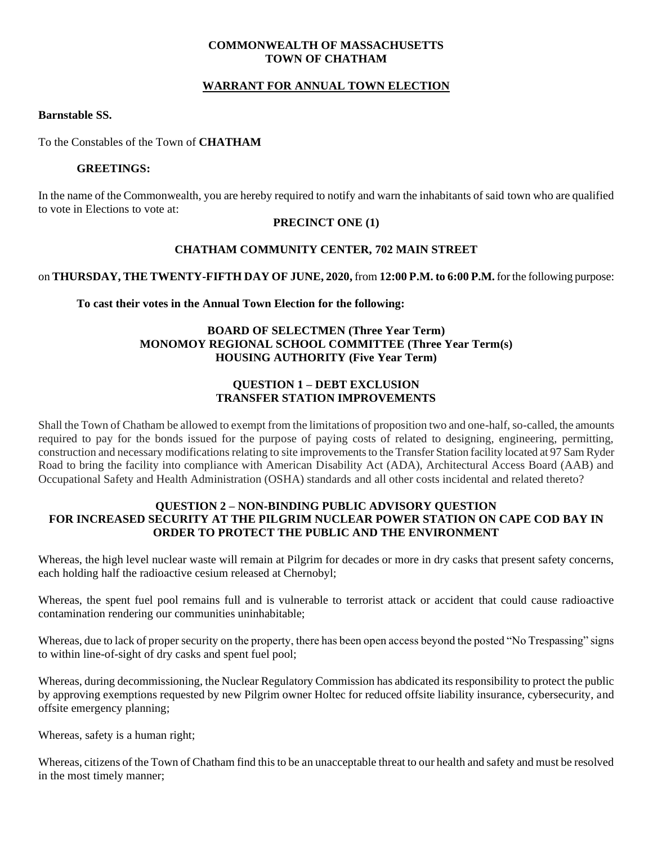## **COMMONWEALTH OF MASSACHUSETTS TOWN OF CHATHAM**

# **WARRANT FOR ANNUAL TOWN ELECTION**

## **Barnstable SS.**

To the Constables of the Town of **CHATHAM**

#### **GREETINGS:**

In the name of the Commonwealth, you are hereby required to notify and warn the inhabitants of said town who are qualified to vote in Elections to vote at:

# **PRECINCT ONE (1)**

## **CHATHAM COMMUNITY CENTER, 702 MAIN STREET**

on **THURSDAY, THE TWENTY-FIFTH DAY OF JUNE, 2020,** from **12:00 P.M. to 6:00 P.M.** for the following purpose:

## **To cast their votes in the Annual Town Election for the following:**

# **BOARD OF SELECTMEN (Three Year Term) MONOMOY REGIONAL SCHOOL COMMITTEE (Three Year Term(s) HOUSING AUTHORITY (Five Year Term)**

# **QUESTION 1 – DEBT EXCLUSION TRANSFER STATION IMPROVEMENTS**

Shall the Town of Chatham be allowed to exempt from the limitations of proposition two and one-half, so-called, the amounts required to pay for the bonds issued for the purpose of paying costs of related to designing, engineering, permitting, construction and necessary modifications relating to site improvements to the Transfer Station facility located at 97 Sam Ryder Road to bring the facility into compliance with American Disability Act (ADA), Architectural Access Board (AAB) and Occupational Safety and Health Administration (OSHA) standards and all other costs incidental and related thereto?

#### **QUESTION 2 – NON-BINDING PUBLIC ADVISORY QUESTION FOR INCREASED SECURITY AT THE PILGRIM NUCLEAR POWER STATION ON CAPE COD BAY IN ORDER TO PROTECT THE PUBLIC AND THE ENVIRONMENT**

Whereas, the high level nuclear waste will remain at Pilgrim for decades or more in dry casks that present safety concerns, each holding half the radioactive cesium released at Chernobyl;

Whereas, the spent fuel pool remains full and is vulnerable to terrorist attack or accident that could cause radioactive contamination rendering our communities uninhabitable;

Whereas, due to lack of proper security on the property, there has been open access beyond the posted "No Trespassing" signs to within line-of-sight of dry casks and spent fuel pool;

Whereas, during decommissioning, the Nuclear Regulatory Commission has abdicated its responsibility to protect the public by approving exemptions requested by new Pilgrim owner Holtec for reduced offsite liability insurance, cybersecurity, and offsite emergency planning;

Whereas, safety is a human right;

Whereas, citizens of the Town of Chatham find this to be an unacceptable threat to our health and safety and must be resolved in the most timely manner;